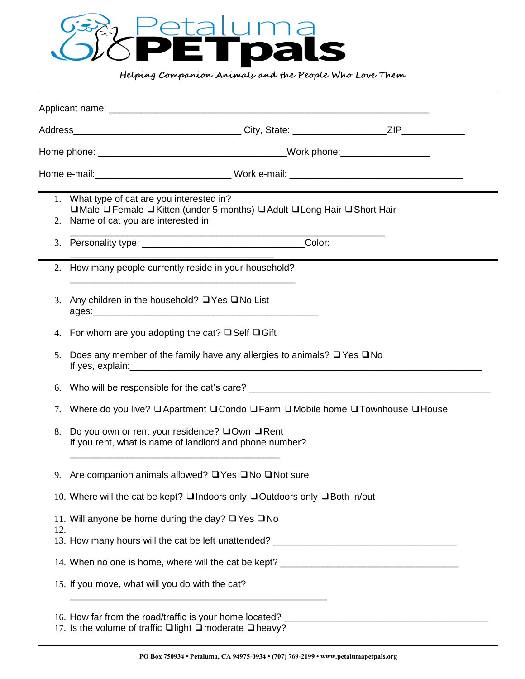

**Helping Companion Animals and the People Who Love Them** 

| 2.  | 1. What type of cat are you interested in?<br>□ Male □ Female □ Kitten (under 5 months) □ Adult □ Long Hair □ Short Hair<br>Name of cat you are interested in: |  |  |  |  |  |  |
|-----|----------------------------------------------------------------------------------------------------------------------------------------------------------------|--|--|--|--|--|--|
| 3.  |                                                                                                                                                                |  |  |  |  |  |  |
|     | 2. How many people currently reside in your household?                                                                                                         |  |  |  |  |  |  |
|     | 3. Any children in the household? $\Box$ Yes $\Box$ No List                                                                                                    |  |  |  |  |  |  |
| 4.  | For whom are you adopting the cat? $\Box$ Self $\Box$ Gift                                                                                                     |  |  |  |  |  |  |
| 5.  | Does any member of the family have any allergies to animals? $\Box$ Yes $\Box$ No                                                                              |  |  |  |  |  |  |
| 6.  |                                                                                                                                                                |  |  |  |  |  |  |
| 7.  | Where do you live? □ Apartment □ Condo □ Farm □ Mobile home □ Townhouse □ House                                                                                |  |  |  |  |  |  |
| 8.  | Do you own or rent your residence? □Own □Rent<br>If you rent, what is name of landlord and phone number?                                                       |  |  |  |  |  |  |
| 9.  | Are companion animals allowed? □ Yes □ No □ Not sure                                                                                                           |  |  |  |  |  |  |
|     | 10. Where will the cat be kept? □ Indoors only □ Outdoors only □ Both in/out                                                                                   |  |  |  |  |  |  |
|     | 11. Will anyone be home during the day? $\Box$ Yes $\Box$ No                                                                                                   |  |  |  |  |  |  |
| 12. | 13. How many hours will the cat be left unattended? _____________________________                                                                              |  |  |  |  |  |  |
|     |                                                                                                                                                                |  |  |  |  |  |  |
|     | 15. If you move, what will you do with the cat?                                                                                                                |  |  |  |  |  |  |
|     | 17. Is the volume of traffic <b>□</b> light □ moderate □ heavy?                                                                                                |  |  |  |  |  |  |